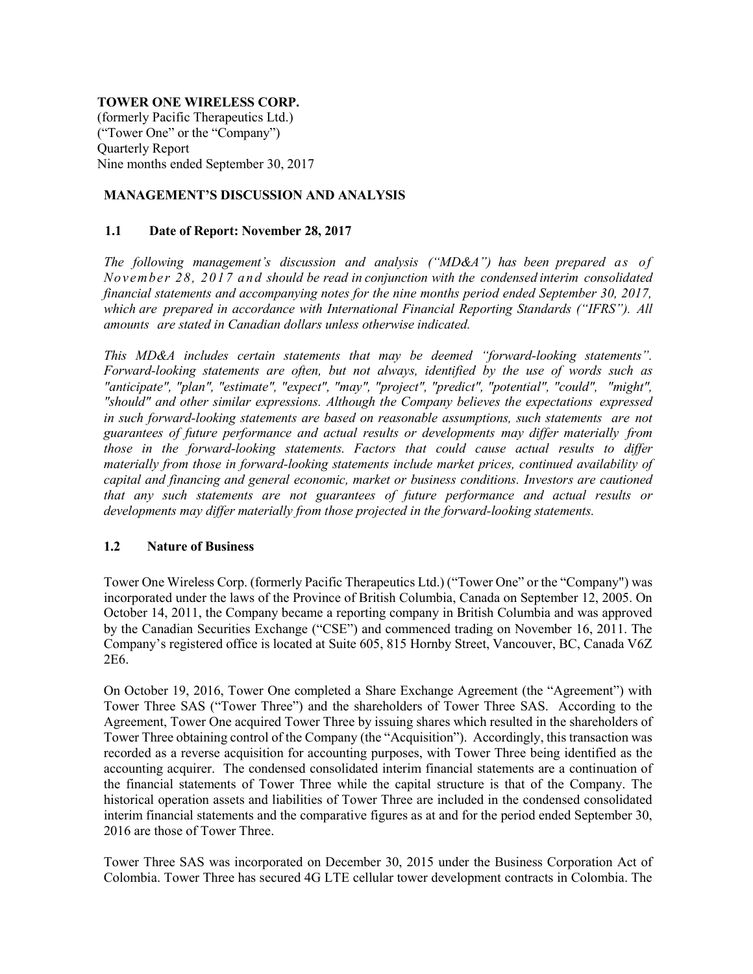## TOWER ONE WIRELESS CORP.

(formerly Pacific Therapeutics Ltd.) ("Tower One" or the "Company") Quarterly Report Nine months ended September 30, 2017

# MANAGEMENT'S DISCUSSION AND ANALYSIS

## 1.1 Date of Report: November 28, 2017

The following management's discussion and analysis (" $MD&A$ ") has been prepared as of November 28, 2017 and should be read in conjunction with the condensed interim consolidated financial statements and accompanying notes for the nine months period ended September 30, 2017, which are prepared in accordance with International Financial Reporting Standards ("IFRS"). All amounts are stated in Canadian dollars unless otherwise indicated.

This MD&A includes certain statements that may be deemed "forward-looking statements". Forward-looking statements are often, but not always, identified by the use of words such as "anticipate", "plan", "estimate", "expect", "may", "project", "predict", "potential", "could", "might", "should" and other similar expressions. Although the Company believes the expectations expressed in such forward-looking statements are based on reasonable assumptions, such statements are not guarantees of future performance and actual results or developments may differ materially from those in the forward-looking statements. Factors that could cause actual results to differ materially from those in forward-looking statements include market prices, continued availability of capital and financing and general economic, market or business conditions. Investors are cautioned that any such statements are not guarantees of future performance and actual results or developments may differ materially from those projected in the forward-looking statements.

## 1.2 Nature of Business

Tower One Wireless Corp. (formerly Pacific Therapeutics Ltd.) ("Tower One" or the "Company") was incorporated under the laws of the Province of British Columbia, Canada on September 12, 2005. On October 14, 2011, the Company became a reporting company in British Columbia and was approved by the Canadian Securities Exchange ("CSE") and commenced trading on November 16, 2011. The Company's registered office is located at Suite 605, 815 Hornby Street, Vancouver, BC, Canada V6Z 2E6.

On October 19, 2016, Tower One completed a Share Exchange Agreement (the "Agreement") with Tower Three SAS ("Tower Three") and the shareholders of Tower Three SAS. According to the Agreement, Tower One acquired Tower Three by issuing shares which resulted in the shareholders of Tower Three obtaining control of the Company (the "Acquisition"). Accordingly, this transaction was recorded as a reverse acquisition for accounting purposes, with Tower Three being identified as the accounting acquirer. The condensed consolidated interim financial statements are a continuation of the financial statements of Tower Three while the capital structure is that of the Company. The historical operation assets and liabilities of Tower Three are included in the condensed consolidated interim financial statements and the comparative figures as at and for the period ended September 30, 2016 are those of Tower Three.

Tower Three SAS was incorporated on December 30, 2015 under the Business Corporation Act of Colombia. Tower Three has secured 4G LTE cellular tower development contracts in Colombia. The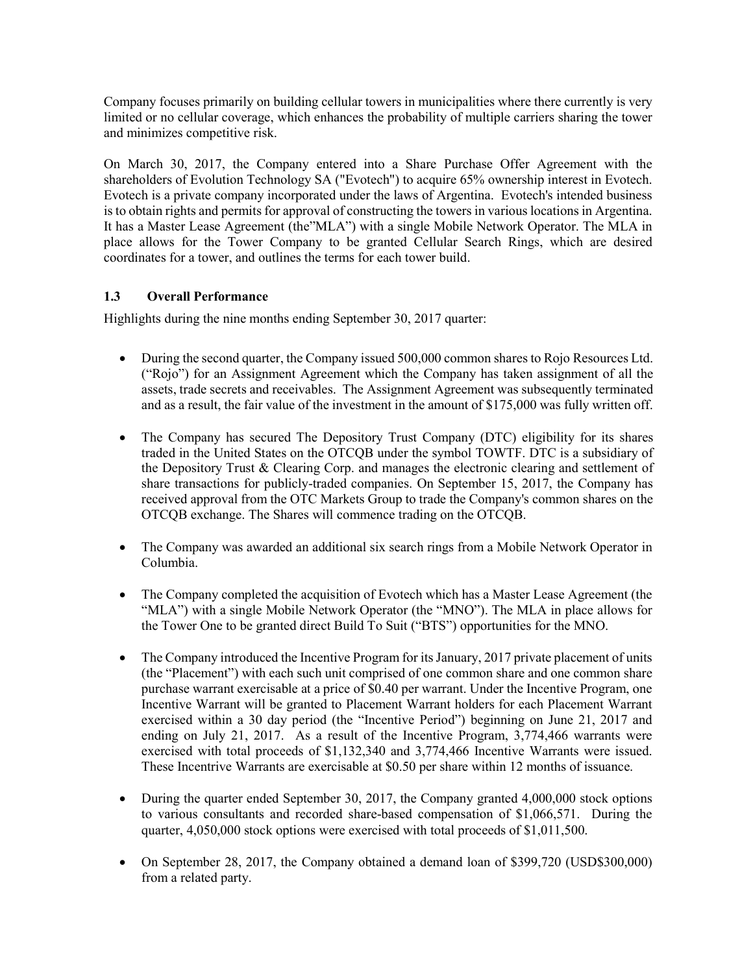Company focuses primarily on building cellular towers in municipalities where there currently is very limited or no cellular coverage, which enhances the probability of multiple carriers sharing the tower and minimizes competitive risk.

On March 30, 2017, the Company entered into a Share Purchase Offer Agreement with the shareholders of Evolution Technology SA ("Evotech") to acquire 65% ownership interest in Evotech. Evotech is a private company incorporated under the laws of Argentina. Evotech's intended business is to obtain rights and permits for approval of constructing the towers in various locations in Argentina. It has a Master Lease Agreement (the"MLA") with a single Mobile Network Operator. The MLA in place allows for the Tower Company to be granted Cellular Search Rings, which are desired coordinates for a tower, and outlines the terms for each tower build.

# 1.3 Overall Performance

Highlights during the nine months ending September 30, 2017 quarter:

- During the second quarter, the Company issued 500,000 common shares to Rojo Resources Ltd. ("Rojo") for an Assignment Agreement which the Company has taken assignment of all the assets, trade secrets and receivables. The Assignment Agreement was subsequently terminated and as a result, the fair value of the investment in the amount of \$175,000 was fully written off.
- The Company has secured The Depository Trust Company (DTC) eligibility for its shares traded in the United States on the OTCQB under the symbol TOWTF. DTC is a subsidiary of the Depository Trust & Clearing Corp. and manages the electronic clearing and settlement of share transactions for publicly-traded companies. On September 15, 2017, the Company has received approval from the OTC Markets Group to trade the Company's common shares on the OTCQB exchange. The Shares will commence trading on the OTCQB.
- The Company was awarded an additional six search rings from a Mobile Network Operator in Columbia.
- The Company completed the acquisition of Evotech which has a Master Lease Agreement (the "MLA") with a single Mobile Network Operator (the "MNO"). The MLA in place allows for the Tower One to be granted direct Build To Suit ("BTS") opportunities for the MNO.
- The Company introduced the Incentive Program for its January, 2017 private placement of units (the "Placement") with each such unit comprised of one common share and one common share purchase warrant exercisable at a price of \$0.40 per warrant. Under the Incentive Program, one Incentive Warrant will be granted to Placement Warrant holders for each Placement Warrant exercised within a 30 day period (the "Incentive Period") beginning on June 21, 2017 and ending on July 21, 2017. As a result of the Incentive Program, 3,774,466 warrants were exercised with total proceeds of \$1,132,340 and 3,774,466 Incentive Warrants were issued. These Incentrive Warrants are exercisable at \$0.50 per share within 12 months of issuance.
- During the quarter ended September 30, 2017, the Company granted 4,000,000 stock options to various consultants and recorded share-based compensation of \$1,066,571. During the quarter, 4,050,000 stock options were exercised with total proceeds of \$1,011,500.
- On September 28, 2017, the Company obtained a demand loan of \$399,720 (USD\$300,000) from a related party.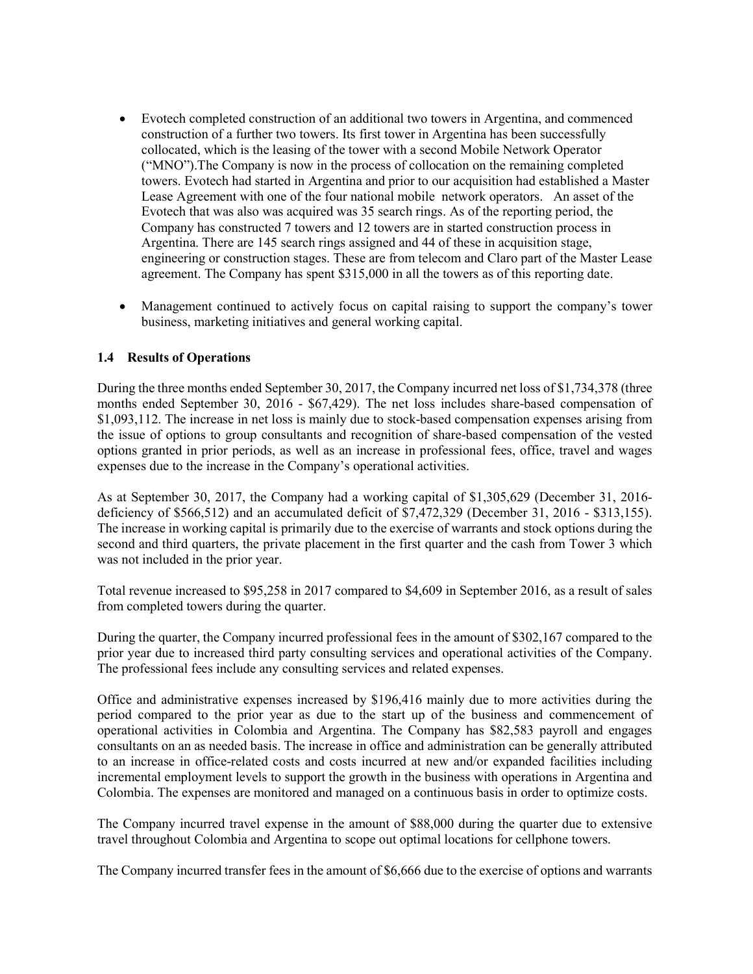- Evotech completed construction of an additional two towers in Argentina, and commenced construction of a further two towers. Its first tower in Argentina has been successfully collocated, which is the leasing of the tower with a second Mobile Network Operator ("MNO").The Company is now in the process of collocation on the remaining completed towers. Evotech had started in Argentina and prior to our acquisition had established a Master Lease Agreement with one of the four national mobile network operators. An asset of the Evotech that was also was acquired was 35 search rings. As of the reporting period, the Company has constructed 7 towers and 12 towers are in started construction process in Argentina. There are 145 search rings assigned and 44 of these in acquisition stage, engineering or construction stages. These are from telecom and Claro part of the Master Lease agreement. The Company has spent \$315,000 in all the towers as of this reporting date.
- Management continued to actively focus on capital raising to support the company's tower business, marketing initiatives and general working capital.

## 1.4 Results of Operations

During the three months ended September 30, 2017, the Company incurred net loss of \$1,734,378 (three months ended September 30, 2016 - \$67,429). The net loss includes share-based compensation of \$1,093,112. The increase in net loss is mainly due to stock-based compensation expenses arising from the issue of options to group consultants and recognition of share-based compensation of the vested options granted in prior periods, as well as an increase in professional fees, office, travel and wages expenses due to the increase in the Company's operational activities.

As at September 30, 2017, the Company had a working capital of \$1,305,629 (December 31, 2016 deficiency of \$566,512) and an accumulated deficit of \$7,472,329 (December 31, 2016 - \$313,155). The increase in working capital is primarily due to the exercise of warrants and stock options during the second and third quarters, the private placement in the first quarter and the cash from Tower 3 which was not included in the prior year.

Total revenue increased to \$95,258 in 2017 compared to \$4,609 in September 2016, as a result of sales from completed towers during the quarter.

During the quarter, the Company incurred professional fees in the amount of \$302,167 compared to the prior year due to increased third party consulting services and operational activities of the Company. The professional fees include any consulting services and related expenses.

Office and administrative expenses increased by \$196,416 mainly due to more activities during the period compared to the prior year as due to the start up of the business and commencement of operational activities in Colombia and Argentina. The Company has \$82,583 payroll and engages consultants on an as needed basis. The increase in office and administration can be generally attributed to an increase in office-related costs and costs incurred at new and/or expanded facilities including incremental employment levels to support the growth in the business with operations in Argentina and Colombia. The expenses are monitored and managed on a continuous basis in order to optimize costs.

The Company incurred travel expense in the amount of \$88,000 during the quarter due to extensive travel throughout Colombia and Argentina to scope out optimal locations for cellphone towers.

The Company incurred transfer fees in the amount of \$6,666 due to the exercise of options and warrants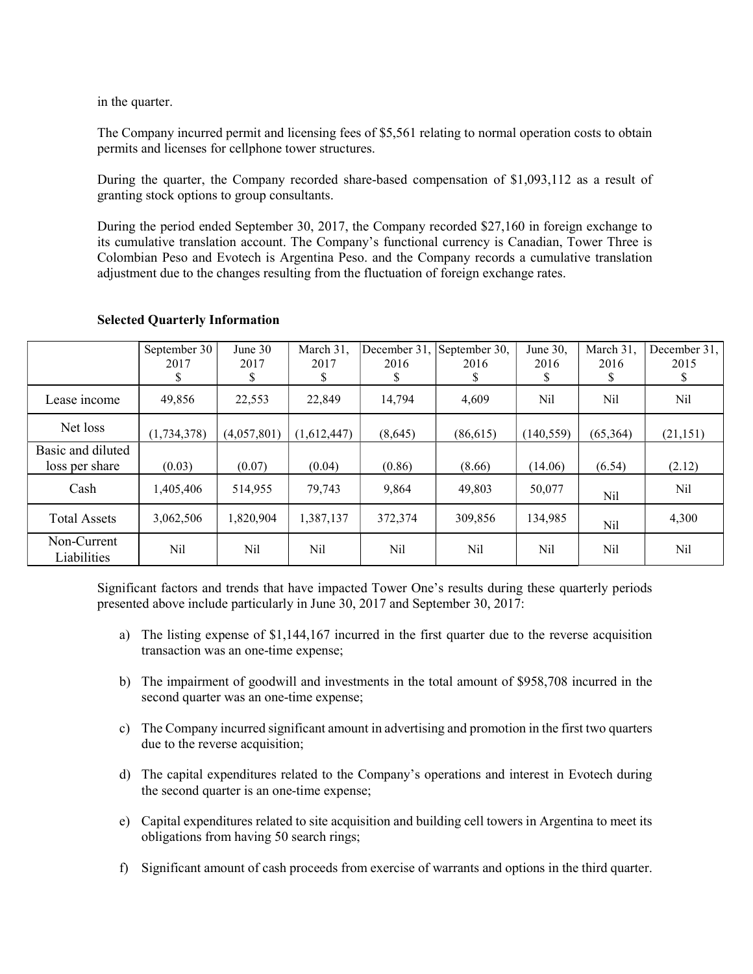in the quarter.

The Company incurred permit and licensing fees of \$5,561 relating to normal operation costs to obtain permits and licenses for cellphone tower structures.

During the quarter, the Company recorded share-based compensation of \$1,093,112 as a result of granting stock options to group consultants.

During the period ended September 30, 2017, the Company recorded \$27,160 in foreign exchange to its cumulative translation account. The Company's functional currency is Canadian, Tower Three is Colombian Peso and Evotech is Argentina Peso. and the Company records a cumulative translation adjustment due to the changes resulting from the fluctuation of foreign exchange rates.

|                            | September 30  | June $30$   | March 31,   | December 31, | September 30, | June $30$ , | March 31. | December 31, |
|----------------------------|---------------|-------------|-------------|--------------|---------------|-------------|-----------|--------------|
|                            | 2017          | 2017        | 2017        | 2016         | 2016          | 2016        | 2016      | 2015         |
|                            | S             | \$          | S           | \$           | \$            | \$          |           | \$           |
| Lease income               | 49,856        | 22,553      | 22,849      | 14,794       | 4,609         | Nil         | Nil       | Nil          |
| Net loss                   | (1, 734, 378) | (4,057,801) | (1,612,447) | (8,645)      | (86,615)      | (140, 559)  | (65,364)  | (21, 151)    |
| Basic and diluted          |               |             |             |              |               |             |           |              |
| loss per share             | (0.03)        | (0.07)      | (0.04)      | (0.86)       | (8.66)        | (14.06)     | (6.54)    | (2.12)       |
| Cash                       | 1,405,406     | 514,955     | 79.743      | 9,864        | 49.803        | 50,077      | Nil       | Nil          |
| <b>Total Assets</b>        | 3,062,506     | 1,820,904   | 1,387,137   | 372,374      | 309,856       | 134,985     | Nil       | 4,300        |
| Non-Current<br>Liabilities | Nil           | Nil         | Nil         | Nil          | Nil           | Nil         | Nil       | Nil          |

### Selected Quarterly Information

Significant factors and trends that have impacted Tower One's results during these quarterly periods presented above include particularly in June 30, 2017 and September 30, 2017:

- a) The listing expense of \$1,144,167 incurred in the first quarter due to the reverse acquisition transaction was an one-time expense;
- b) The impairment of goodwill and investments in the total amount of \$958,708 incurred in the second quarter was an one-time expense;
- c) The Company incurred significant amount in advertising and promotion in the first two quarters due to the reverse acquisition;
- d) The capital expenditures related to the Company's operations and interest in Evotech during the second quarter is an one-time expense;
- e) Capital expenditures related to site acquisition and building cell towers in Argentina to meet its obligations from having 50 search rings;
- f) Significant amount of cash proceeds from exercise of warrants and options in the third quarter.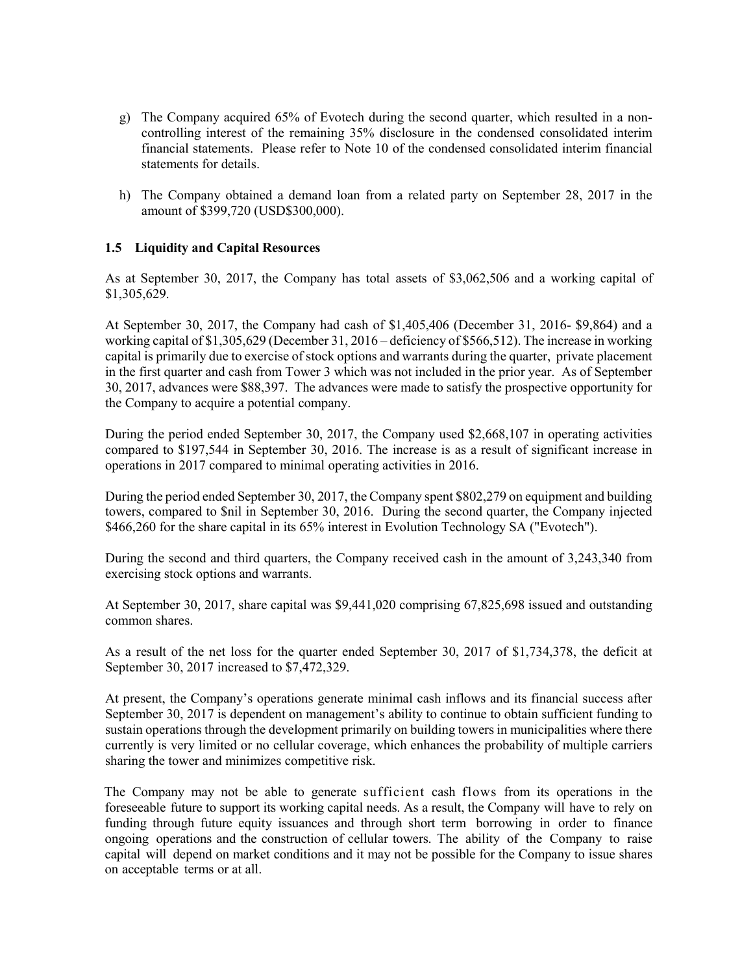- g) The Company acquired 65% of Evotech during the second quarter, which resulted in a noncontrolling interest of the remaining 35% disclosure in the condensed consolidated interim financial statements. Please refer to Note 10 of the condensed consolidated interim financial statements for details.
- h) The Company obtained a demand loan from a related party on September 28, 2017 in the amount of \$399,720 (USD\$300,000).

# 1.5 Liquidity and Capital Resources

As at September 30, 2017, the Company has total assets of \$3,062,506 and a working capital of \$1,305,629.

At September 30, 2017, the Company had cash of \$1,405,406 (December 31, 2016- \$9,864) and a working capital of \$1,305,629 (December 31, 2016 – deficiency of \$566,512). The increase in working capital is primarily due to exercise of stock options and warrants during the quarter, private placement in the first quarter and cash from Tower 3 which was not included in the prior year. As of September 30, 2017, advances were \$88,397. The advances were made to satisfy the prospective opportunity for the Company to acquire a potential company.

During the period ended September 30, 2017, the Company used \$2,668,107 in operating activities compared to \$197,544 in September 30, 2016. The increase is as a result of significant increase in operations in 2017 compared to minimal operating activities in 2016.

During the period ended September 30, 2017, the Company spent \$802,279 on equipment and building towers, compared to \$nil in September 30, 2016. During the second quarter, the Company injected \$466,260 for the share capital in its 65% interest in Evolution Technology SA ("Evotech").

During the second and third quarters, the Company received cash in the amount of 3,243,340 from exercising stock options and warrants.

At September 30, 2017, share capital was \$9,441,020 comprising 67,825,698 issued and outstanding common shares.

As a result of the net loss for the quarter ended September 30, 2017 of \$1,734,378, the deficit at September 30, 2017 increased to \$7,472,329.

At present, the Company's operations generate minimal cash inflows and its financial success after September 30, 2017 is dependent on management's ability to continue to obtain sufficient funding to sustain operations through the development primarily on building towers in municipalities where there currently is very limited or no cellular coverage, which enhances the probability of multiple carriers sharing the tower and minimizes competitive risk.

The Company may not be able to generate sufficient cash flows from its operations in the foreseeable future to support its working capital needs. As a result, the Company will have to rely on funding through future equity issuances and through short term borrowing in order to finance ongoing operations and the construction of cellular towers. The ability of the Company to raise capital will depend on market conditions and it may not be possible for the Company to issue shares on acceptable terms or at all.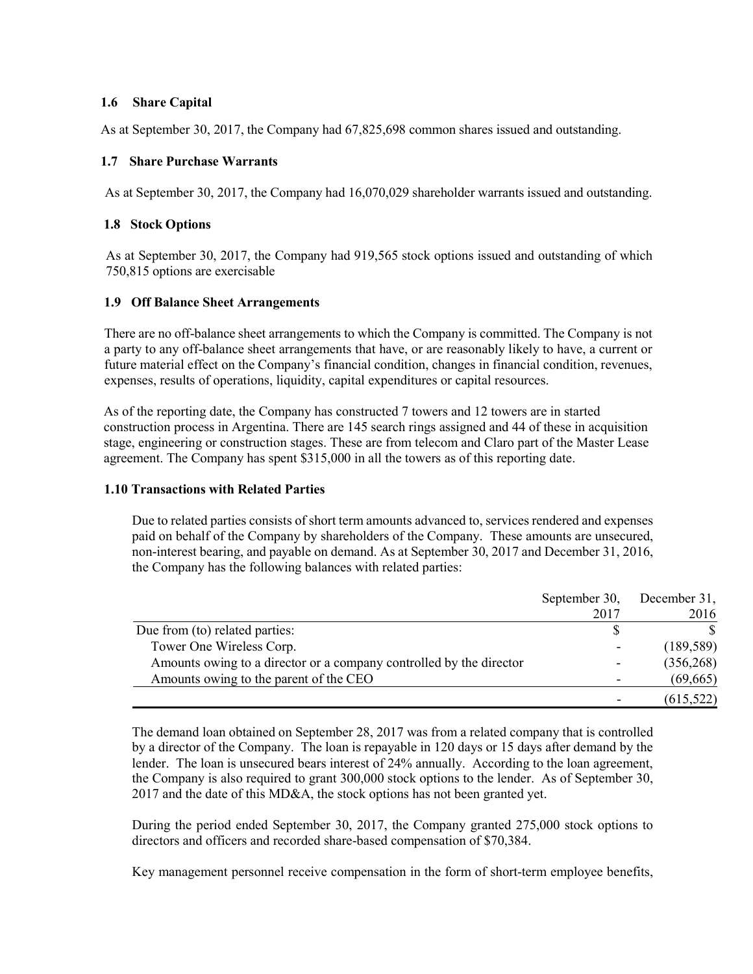# 1.6 Share Capital

As at September 30, 2017, the Company had 67,825,698 common shares issued and outstanding.

# 1.7 Share Purchase Warrants

As at September 30, 2017, the Company had 16,070,029 shareholder warrants issued and outstanding.

# 1.8 Stock Options

As at September 30, 2017, the Company had 919,565 stock options issued and outstanding of which 750,815 options are exercisable

# 1.9 Off Balance Sheet Arrangements

There are no off-balance sheet arrangements to which the Company is committed. The Company is not a party to any off-balance sheet arrangements that have, or are reasonably likely to have, a current or future material effect on the Company's financial condition, changes in financial condition, revenues, expenses, results of operations, liquidity, capital expenditures or capital resources.

As of the reporting date, the Company has constructed 7 towers and 12 towers are in started construction process in Argentina. There are 145 search rings assigned and 44 of these in acquisition stage, engineering or construction stages. These are from telecom and Claro part of the Master Lease agreement. The Company has spent \$315,000 in all the towers as of this reporting date.

## 1.10 Transactions with Related Parties

Due to related parties consists of short term amounts advanced to, services rendered and expenses paid on behalf of the Company by shareholders of the Company. These amounts are unsecured, non-interest bearing, and payable on demand. As at September 30, 2017 and December 31, 2016, the Company has the following balances with related parties:

|                                                                     | September 30, | December 31, |
|---------------------------------------------------------------------|---------------|--------------|
|                                                                     | 2017          | 2016         |
| Due from (to) related parties:                                      |               |              |
| Tower One Wireless Corp.                                            |               | (189, 589)   |
| Amounts owing to a director or a company controlled by the director |               | (356, 268)   |
| Amounts owing to the parent of the CEO                              |               | (69, 665)    |
|                                                                     |               | (615, 522)   |

The demand loan obtained on September 28, 2017 was from a related company that is controlled by a director of the Company. The loan is repayable in 120 days or 15 days after demand by the lender. The loan is unsecured bears interest of 24% annually. According to the loan agreement, the Company is also required to grant 300,000 stock options to the lender. As of September 30, 2017 and the date of this MD&A, the stock options has not been granted yet.

During the period ended September 30, 2017, the Company granted 275,000 stock options to directors and officers and recorded share-based compensation of \$70,384.

Key management personnel receive compensation in the form of short-term employee benefits,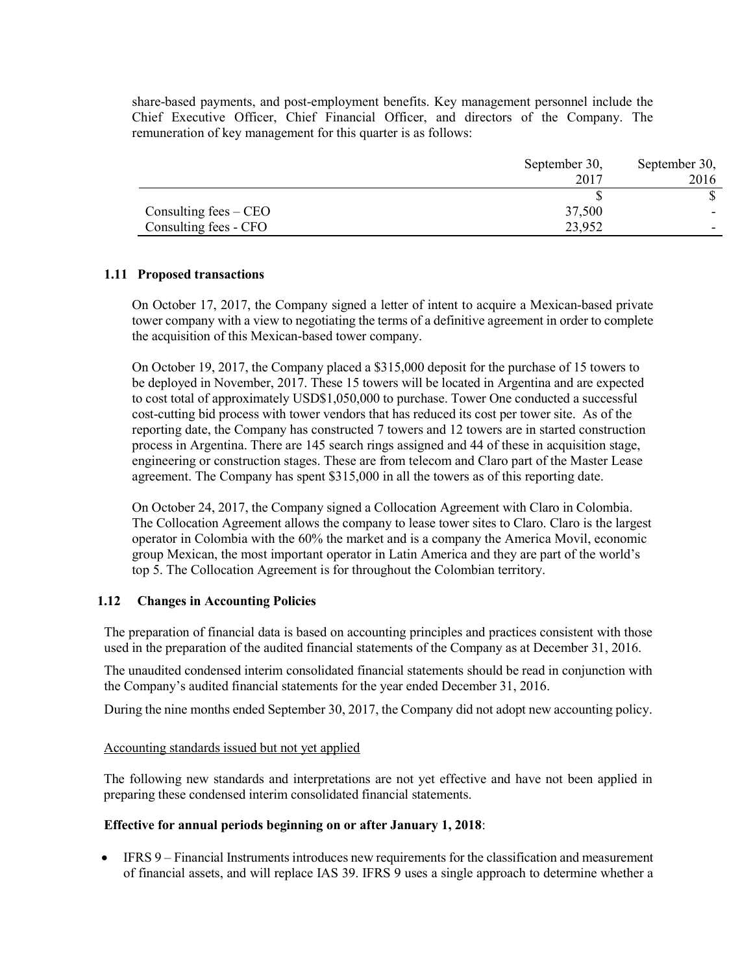share-based payments, and post-employment benefits. Key management personnel include the Chief Executive Officer, Chief Financial Officer, and directors of the Company. The remuneration of key management for this quarter is as follows:

|                         | September 30, | September 30, |
|-------------------------|---------------|---------------|
|                         | 2017          | 2016          |
|                         |               |               |
| Consulting fees $-$ CEO | 37,500        |               |
| Consulting fees - CFO   | 23,952        |               |

## 1.11 Proposed transactions

On October 17, 2017, the Company signed a letter of intent to acquire a Mexican-based private tower company with a view to negotiating the terms of a definitive agreement in order to complete the acquisition of this Mexican-based tower company.

On October 19, 2017, the Company placed a \$315,000 deposit for the purchase of 15 towers to be deployed in November, 2017. These 15 towers will be located in Argentina and are expected to cost total of approximately USD\$1,050,000 to purchase. Tower One conducted a successful cost-cutting bid process with tower vendors that has reduced its cost per tower site. As of the reporting date, the Company has constructed 7 towers and 12 towers are in started construction process in Argentina. There are 145 search rings assigned and 44 of these in acquisition stage, engineering or construction stages. These are from telecom and Claro part of the Master Lease agreement. The Company has spent \$315,000 in all the towers as of this reporting date.

On October 24, 2017, the Company signed a Collocation Agreement with Claro in Colombia. The Collocation Agreement allows the company to lease tower sites to Claro. Claro is the largest operator in Colombia with the 60% the market and is a company the America Movil, economic group Mexican, the most important operator in Latin America and they are part of the world's top 5. The Collocation Agreement is for throughout the Colombian territory.

#### 1.12 Changes in Accounting Policies

The preparation of financial data is based on accounting principles and practices consistent with those used in the preparation of the audited financial statements of the Company as at December 31, 2016.

The unaudited condensed interim consolidated financial statements should be read in conjunction with the Company's audited financial statements for the year ended December 31, 2016.

During the nine months ended September 30, 2017, the Company did not adopt new accounting policy.

#### Accounting standards issued but not yet applied

The following new standards and interpretations are not yet effective and have not been applied in preparing these condensed interim consolidated financial statements.

# Effective for annual periods beginning on or after January 1, 2018:

 IFRS 9 – Financial Instruments introduces new requirements for the classification and measurement of financial assets, and will replace IAS 39. IFRS 9 uses a single approach to determine whether a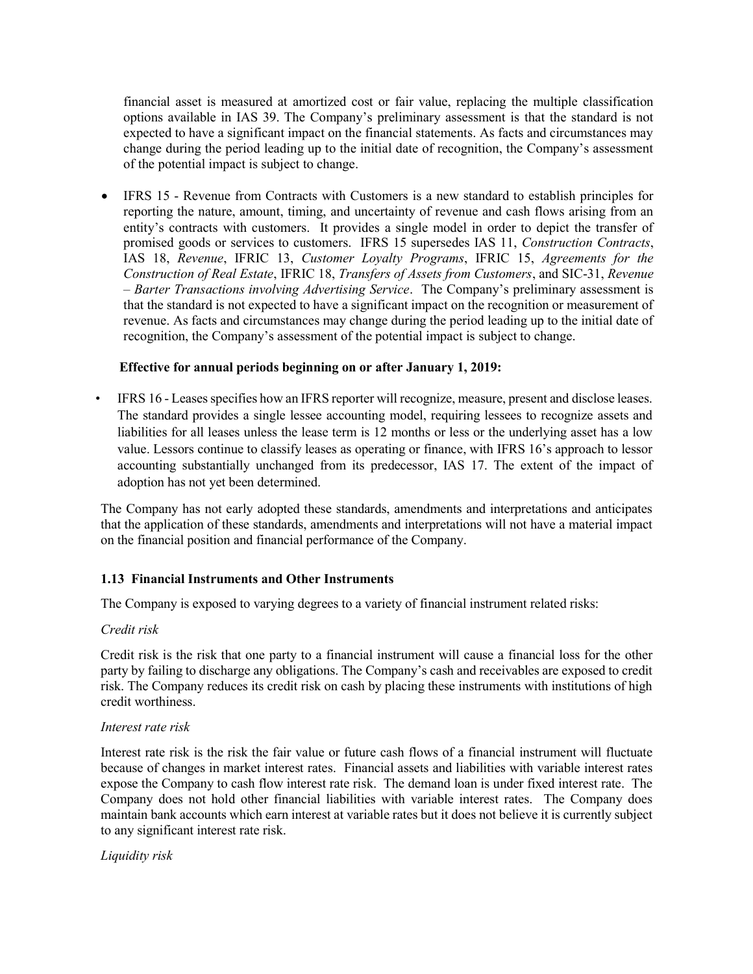financial asset is measured at amortized cost or fair value, replacing the multiple classification options available in IAS 39. The Company's preliminary assessment is that the standard is not expected to have a significant impact on the financial statements. As facts and circumstances may change during the period leading up to the initial date of recognition, the Company's assessment of the potential impact is subject to change.

 IFRS 15 - Revenue from Contracts with Customers is a new standard to establish principles for reporting the nature, amount, timing, and uncertainty of revenue and cash flows arising from an entity's contracts with customers. It provides a single model in order to depict the transfer of promised goods or services to customers. IFRS 15 supersedes IAS 11, Construction Contracts, IAS 18, Revenue, IFRIC 13, Customer Loyalty Programs, IFRIC 15, Agreements for the Construction of Real Estate, IFRIC 18, Transfers of Assets from Customers, and SIC-31, Revenue – Barter Transactions involving Advertising Service. The Company's preliminary assessment is that the standard is not expected to have a significant impact on the recognition or measurement of revenue. As facts and circumstances may change during the period leading up to the initial date of recognition, the Company's assessment of the potential impact is subject to change.

### Effective for annual periods beginning on or after January 1, 2019:

• IFRS 16 - Leases specifies how an IFRS reporter will recognize, measure, present and disclose leases. The standard provides a single lessee accounting model, requiring lessees to recognize assets and liabilities for all leases unless the lease term is 12 months or less or the underlying asset has a low value. Lessors continue to classify leases as operating or finance, with IFRS 16's approach to lessor accounting substantially unchanged from its predecessor, IAS 17. The extent of the impact of adoption has not yet been determined.

The Company has not early adopted these standards, amendments and interpretations and anticipates that the application of these standards, amendments and interpretations will not have a material impact on the financial position and financial performance of the Company.

## 1.13 Financial Instruments and Other Instruments

The Company is exposed to varying degrees to a variety of financial instrument related risks:

#### Credit risk

Credit risk is the risk that one party to a financial instrument will cause a financial loss for the other party by failing to discharge any obligations. The Company's cash and receivables are exposed to credit risk. The Company reduces its credit risk on cash by placing these instruments with institutions of high credit worthiness.

#### Interest rate risk

Interest rate risk is the risk the fair value or future cash flows of a financial instrument will fluctuate because of changes in market interest rates. Financial assets and liabilities with variable interest rates expose the Company to cash flow interest rate risk. The demand loan is under fixed interest rate. The Company does not hold other financial liabilities with variable interest rates. The Company does maintain bank accounts which earn interest at variable rates but it does not believe it is currently subject to any significant interest rate risk.

Liquidity risk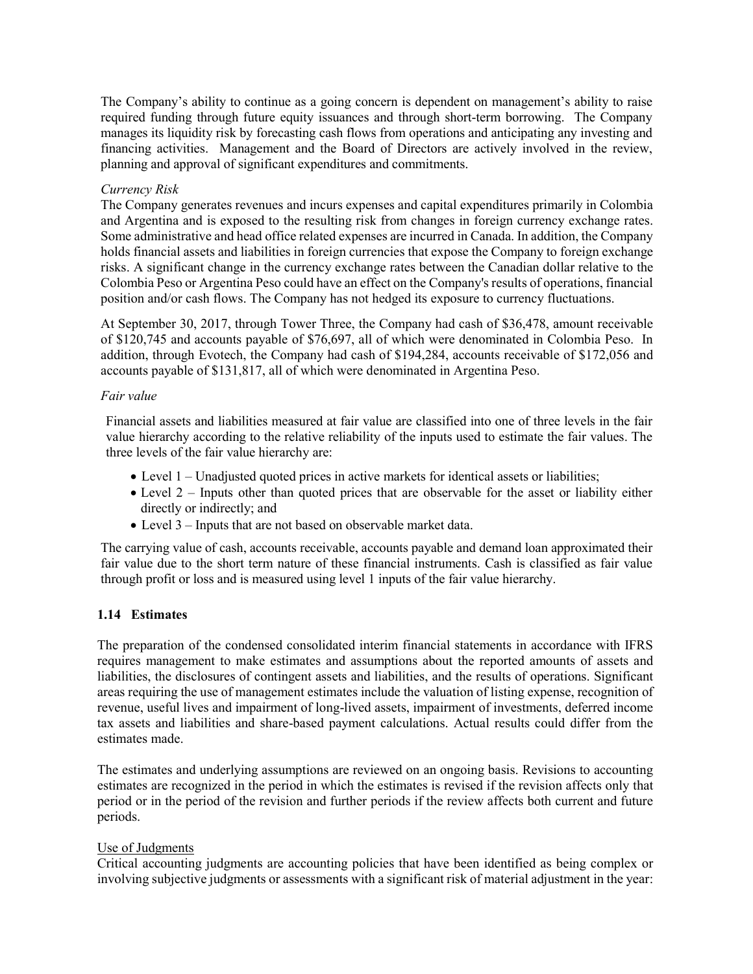The Company's ability to continue as a going concern is dependent on management's ability to raise required funding through future equity issuances and through short-term borrowing. The Company manages its liquidity risk by forecasting cash flows from operations and anticipating any investing and financing activities. Management and the Board of Directors are actively involved in the review, planning and approval of significant expenditures and commitments.

### Currency Risk

The Company generates revenues and incurs expenses and capital expenditures primarily in Colombia and Argentina and is exposed to the resulting risk from changes in foreign currency exchange rates. Some administrative and head office related expenses are incurred in Canada. In addition, the Company holds financial assets and liabilities in foreign currencies that expose the Company to foreign exchange risks. A significant change in the currency exchange rates between the Canadian dollar relative to the Colombia Peso or Argentina Peso could have an effect on the Company's results of operations, financial position and/or cash flows. The Company has not hedged its exposure to currency fluctuations.

At September 30, 2017, through Tower Three, the Company had cash of \$36,478, amount receivable of \$120,745 and accounts payable of \$76,697, all of which were denominated in Colombia Peso. In addition, through Evotech, the Company had cash of \$194,284, accounts receivable of \$172,056 and accounts payable of \$131,817, all of which were denominated in Argentina Peso.

### Fair value

Financial assets and liabilities measured at fair value are classified into one of three levels in the fair value hierarchy according to the relative reliability of the inputs used to estimate the fair values. The three levels of the fair value hierarchy are:

- Level 1 Unadjusted quoted prices in active markets for identical assets or liabilities;
- Level 2 Inputs other than quoted prices that are observable for the asset or liability either directly or indirectly; and
- Level 3 Inputs that are not based on observable market data.

The carrying value of cash, accounts receivable, accounts payable and demand loan approximated their fair value due to the short term nature of these financial instruments. Cash is classified as fair value through profit or loss and is measured using level 1 inputs of the fair value hierarchy.

## 1.14 Estimates

The preparation of the condensed consolidated interim financial statements in accordance with IFRS requires management to make estimates and assumptions about the reported amounts of assets and liabilities, the disclosures of contingent assets and liabilities, and the results of operations. Significant areas requiring the use of management estimates include the valuation of listing expense, recognition of revenue, useful lives and impairment of long-lived assets, impairment of investments, deferred income tax assets and liabilities and share-based payment calculations. Actual results could differ from the estimates made.

The estimates and underlying assumptions are reviewed on an ongoing basis. Revisions to accounting estimates are recognized in the period in which the estimates is revised if the revision affects only that period or in the period of the revision and further periods if the review affects both current and future periods.

## Use of Judgments

Critical accounting judgments are accounting policies that have been identified as being complex or involving subjective judgments or assessments with a significant risk of material adjustment in the year: